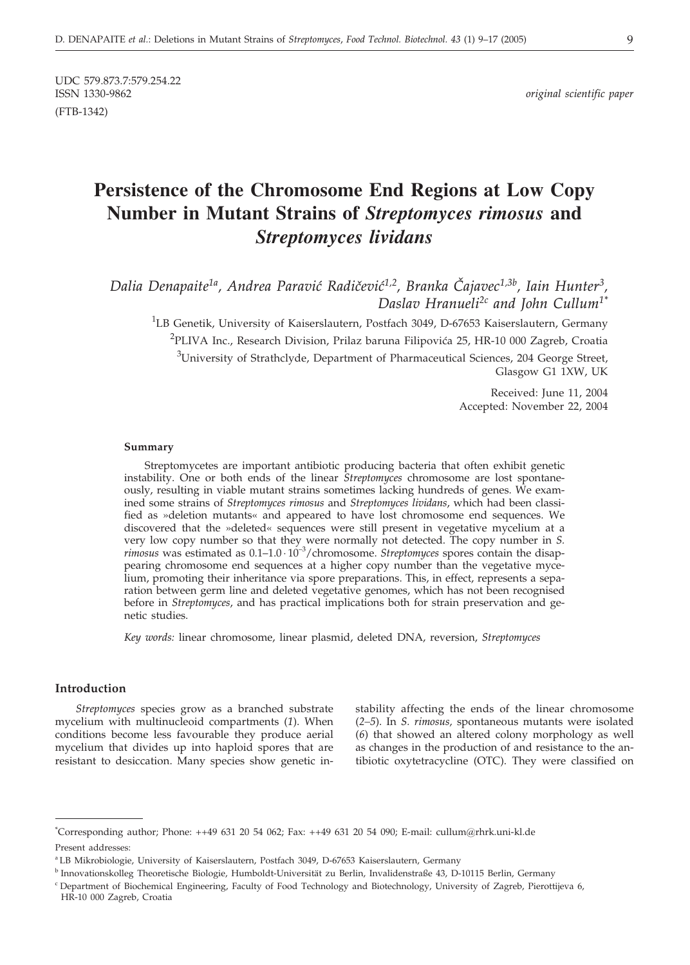UDC 579.873.7:579.254.22<br>ISSN 1330-9862 (FTB-1342)

# **Persistence of the Chromosome End Regions at Low Copy Number in Mutant Strains of** *Streptomyces rimosus* **and** *Streptomyces lividans*

Dalia Denapaite<sup>1a</sup>, Andrea Paravić Radičević<sup>1,2</sup>, Branka Čajavec<sup>1,3b</sup>, Iain Hunter<sup>3</sup>, *Daslav Hranueli2c and John Cullum1\**

<sup>1</sup>LB Genetik, University of Kaiserslautern, Postfach 3049, D-67653 Kaiserslautern, Germany <sup>2</sup>PLIVA Inc., Research Division, Prilaz baruna Filipovića 25, HR-10 000 Zagreb, Croatia  $3$ University of Strathclyde, Department of Pharmaceutical Sciences, 204 George Street, Glasgow G1 1XW, UK

> Received: June 11, 2004 Accepted: November 22, 2004

#### **Summary**

Streptomycetes are important antibiotic producing bacteria that often exhibit genetic instability. One or both ends of the linear *Streptomyces* chromosome are lost spontaneously, resulting in viable mutant strains sometimes lacking hundreds of genes. We examined some strains of *Streptomyces rimosus* and *Streptomyces lividans*, which had been classified as »deletion mutants« and appeared to have lost chromosome end sequences. We discovered that the »deleted« sequences were still present in vegetative mycelium at a very low copy number so that they were normally not detected. The copy number in *S. rimosus* was estimated as 0.1–1.0 10–3/chromosome. *Streptomyces* spores contain the disappearing chromosome end sequences at a higher copy number than the vegetative mycelium, promoting their inheritance via spore preparations. This, in effect, represents a separation between germ line and deleted vegetative genomes, which has not been recognised before in *Streptomyces*, and has practical implications both for strain preservation and genetic studies.

*Key words:* linear chromosome, linear plasmid, deleted DNA, reversion, *Streptomyces*

### **Introduction**

*Streptomyces* species grow as a branched substrate mycelium with multinucleoid compartments (*1*). When conditions become less favourable they produce aerial mycelium that divides up into haploid spores that are resistant to desiccation. Many species show genetic instability affecting the ends of the linear chromosome (*2–5*). In *S. rimosus,* spontaneous mutants were isolated (*6*) that showed an altered colony morphology as well as changes in the production of and resistance to the antibiotic oxytetracycline (OTC). They were classified on

<sup>\*</sup> Corresponding author; Phone: ++49 631 20 54 062; Fax: ++49 631 20 54 090; E-mail: cullum@rhrk.uni-kl.de Present addresses:

<sup>a</sup> LB Mikrobiologie, University of Kaiserslautern, Postfach 3049, D-67653 Kaiserslautern, Germany

<sup>b</sup> Innovationskolleg Theoretische Biologie, Humboldt-Universität zu Berlin, Invalidenstraße 43, D-10115 Berlin, Germany

<sup>&</sup>lt;sup>c</sup> Department of Biochemical Engineering, Faculty of Food Technology and Biotechnology, University of Zagreb, Pierottijeva 6, HR-10 000 Zagreb, Croatia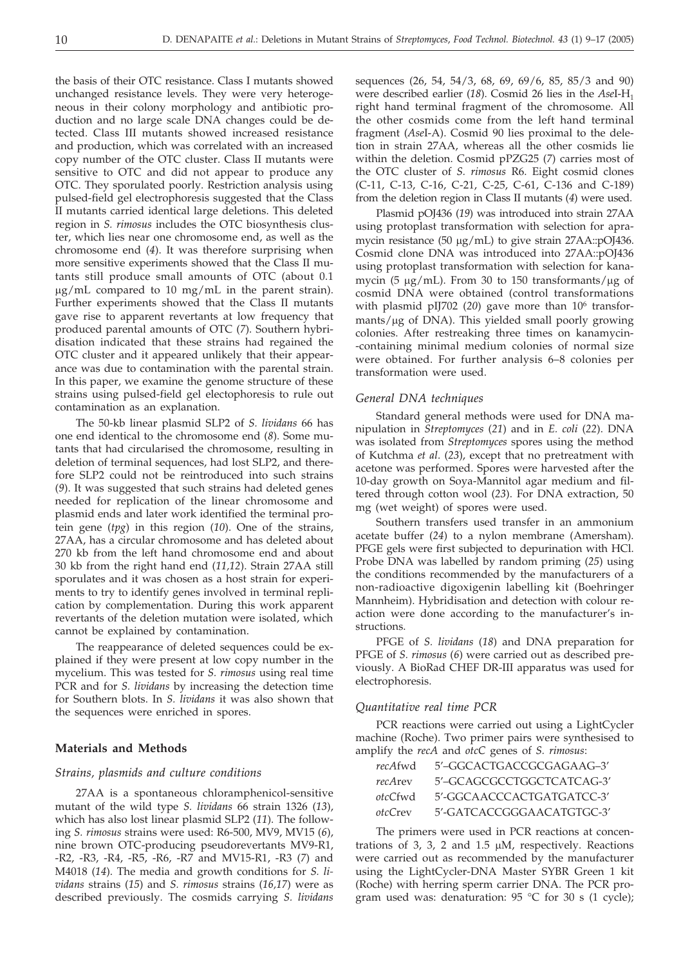the basis of their OTC resistance. Class I mutants showed unchanged resistance levels. They were very heterogeneous in their colony morphology and antibiotic production and no large scale DNA changes could be detected. Class III mutants showed increased resistance and production, which was correlated with an increased copy number of the OTC cluster. Class II mutants were sensitive to OTC and did not appear to produce any OTC. They sporulated poorly. Restriction analysis using pulsed-field gel electrophoresis suggested that the Class II mutants carried identical large deletions. This deleted region in *S. rimosus* includes the OTC biosynthesis cluster, which lies near one chromosome end, as well as the chromosome end (*4*). It was therefore surprising when more sensitive experiments showed that the Class II mutants still produce small amounts of OTC (about 0.1  $\mu$ g/mL compared to 10 mg/mL in the parent strain). Further experiments showed that the Class II mutants gave rise to apparent revertants at low frequency that produced parental amounts of OTC (*7*). Southern hybridisation indicated that these strains had regained the OTC cluster and it appeared unlikely that their appearance was due to contamination with the parental strain. In this paper, we examine the genome structure of these strains using pulsed-field gel electophoresis to rule out contamination as an explanation.

The 50-kb linear plasmid SLP2 of *S. lividans* 66 has one end identical to the chromosome end (*8*). Some mutants that had circularised the chromosome, resulting in deletion of terminal sequences, had lost SLP2, and therefore SLP2 could not be reintroduced into such strains (*9*). It was suggested that such strains had deleted genes needed for replication of the linear chromosome and plasmid ends and later work identified the terminal protein gene (*tpg*) in this region (*10*). One of the strains, 27AA, has a circular chromosome and has deleted about 270 kb from the left hand chromosome end and about 30 kb from the right hand end (*11,12*). Strain 27AA still sporulates and it was chosen as a host strain for experiments to try to identify genes involved in terminal replication by complementation. During this work apparent revertants of the deletion mutation were isolated, which cannot be explained by contamination.

The reappearance of deleted sequences could be explained if they were present at low copy number in the mycelium. This was tested for *S. rimosus* using real time PCR and for *S. lividans* by increasing the detection time for Southern blots. In *S. lividans* it was also shown that the sequences were enriched in spores.

### **Materials and Methods**

### *Strains, plasmids and culture conditions*

27AA is a spontaneous chloramphenicol-sensitive mutant of the wild type *S. lividans* 66 strain 1326 (*13*), which has also lost linear plasmid SLP2 (*11*). The following *S. rimosus* strains were used: R6-500, MV9, MV15 (*6*), nine brown OTC-producing pseudorevertants MV9-R1, -R2, -R3, -R4, -R5, -R6, -R7 and MV15-R1, -R3 (*7*) and M4018 (*14*). The media and growth conditions for *S. lividans* strains (*15*) and *S. rimosus* strains (*16,17*) were as described previously. The cosmids carrying *S. lividans*

sequences (26, 54, 54/3, 68, 69, 69/6, 85, 85/3 and 90) were described earlier (*18*). Cosmid 26 lies in the *Ase*I-H1 right hand terminal fragment of the chromosome. All the other cosmids come from the left hand terminal fragment (*Ase*I-A). Cosmid 90 lies proximal to the deletion in strain 27AA, whereas all the other cosmids lie within the deletion. Cosmid pPZG25 (*7*) carries most of the OTC cluster of *S. rimosus* R6. Eight cosmid clones (C-11, C-13, C-16, C-21, C-25, C-61, C-136 and C-189) from the deletion region in Class II mutants (*4*) were used.

Plasmid pOJ436 (*19*) was introduced into strain 27AA using protoplast transformation with selection for apramycin resistance (50 µg/mL) to give strain 27AA::pOJ436. Cosmid clone DNA was introduced into 27AA::pOJ436 using protoplast transformation with selection for kanamycin (5  $\mu$ g/mL). From 30 to 150 transformants/ $\mu$ g of cosmid DNA were obtained (control transformations with plasmid pIJ702 (20) gave more than 10<sup>6</sup> transformants/µg of DNA). This yielded small poorly growing colonies. After restreaking three times on kanamycin- -containing minimal medium colonies of normal size were obtained. For further analysis 6–8 colonies per transformation were used.

#### *General DNA techniques*

Standard general methods were used for DNA manipulation in *Streptomyces* (*21*) and in *E. coli* (*22*). DNA was isolated from *Streptomyces* spores using the method of Kutchma *et al*. (*23*), except that no pretreatment with acetone was performed. Spores were harvested after the 10-day growth on Soya-Mannitol agar medium and filtered through cotton wool (*23*). For DNA extraction, 50 mg (wet weight) of spores were used.

Southern transfers used transfer in an ammonium acetate buffer (*24*) to a nylon membrane (Amersham). PFGE gels were first subjected to depurination with HCl. Probe DNA was labelled by random priming (*25*) using the conditions recommended by the manufacturers of a non-radioactive digoxigenin labelling kit (Boehringer Mannheim). Hybridisation and detection with colour reaction were done according to the manufacturer's instructions.

PFGE of *S. lividans* (*18*) and DNA preparation for PFGE of *S. rimosus* (*6*) were carried out as described previously. A BioRad CHEF DR-III apparatus was used for electrophoresis.

#### *Quantitative real time PCR*

PCR reactions were carried out using a LightCycler machine (Roche). Two primer pairs were synthesised to amplify the *recA* and *otcC* genes of *S. rimosus*:

| recAfwd | 5'-GGCACTGACCGCGAGAAG-3'  |
|---------|---------------------------|
| recArey | 5'-GCAGCGCCTGGCTCATCAG-3' |
| otcCfwd | 5'-GGCAACCCACTGATGATCC-3' |
| otcCrey | 5'-GATCACCGGGAACATGTGC-3' |

The primers were used in PCR reactions at concentrations of 3, 3, 2 and 1.5  $\mu$ M, respectively. Reactions were carried out as recommended by the manufacturer using the LightCycler-DNA Master SYBR Green 1 kit (Roche) with herring sperm carrier DNA. The PCR program used was: denaturation:  $95 °C$  for  $30 s$  (1 cycle);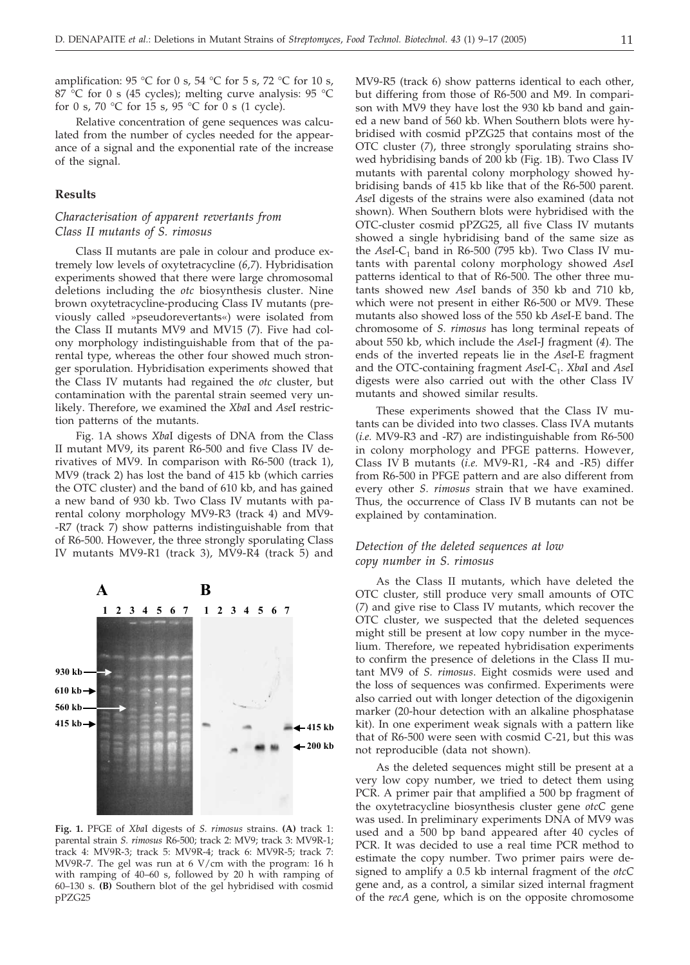amplification: 95 °C for 0 s, 54 °C for 5 s, 72 °C for 10 s, 87 °C for 0 s (45 cycles); melting curve analysis: 95 °C for 0 s, 70 °C for 15 s, 95 °C for 0 s (1 cycle).

Relative concentration of gene sequences was calculated from the number of cycles needed for the appearance of a signal and the exponential rate of the increase of the signal.

### **Results**

### *Characterisation of apparent revertants from Class II mutants of S. rimosus*

Class II mutants are pale in colour and produce extremely low levels of oxytetracycline (*6,7*). Hybridisation experiments showed that there were large chromosomal deletions including the *otc* biosynthesis cluster. Nine brown oxytetracycline-producing Class IV mutants (previously called »pseudorevertants«) were isolated from the Class II mutants MV9 and MV15 (*7*). Five had colony morphology indistinguishable from that of the parental type, whereas the other four showed much stronger sporulation. Hybridisation experiments showed that the Class IV mutants had regained the *otc* cluster, but contamination with the parental strain seemed very unlikely. Therefore, we examined the *Xba*I and *Ase*I restriction patterns of the mutants.

Fig. 1A shows *Xba*I digests of DNA from the Class II mutant MV9, its parent R6-500 and five Class IV derivatives of MV9. In comparison with R6-500 (track 1), MV9 (track 2) has lost the band of 415 kb (which carries the OTC cluster) and the band of 610 kb, and has gained a new band of 930 kb. Two Class IV mutants with parental colony morphology MV9-R3 (track 4) and MV9- -R7 (track 7) show patterns indistinguishable from that of R6-500. However, the three strongly sporulating Class IV mutants MV9-R1 (track 3), MV9-R4 (track 5) and



**Fig. 1.** PFGE of *Xba*I digests of *S. rimosus* strains. **(A)** track 1: parental strain *S. rimosus* R6-500; track 2: MV9; track 3: MV9R-1; track 4: MV9R-3; track 5: MV9R-4; track 6: MV9R-5; track 7: MV9R-7. The gel was run at 6 V/cm with the program: 16 h with ramping of 40–60 s, followed by 20 h with ramping of 60–130 s. **(B)** Southern blot of the gel hybridised with cosmid pPZG25

MV9-R5 (track 6) show patterns identical to each other, but differing from those of R6-500 and M9. In comparison with MV9 they have lost the 930 kb band and gained a new band of 560 kb. When Southern blots were hybridised with cosmid pPZG25 that contains most of the OTC cluster (*7*), three strongly sporulating strains showed hybridising bands of 200 kb (Fig. 1B). Two Class IV mutants with parental colony morphology showed hybridising bands of 415 kb like that of the R6-500 parent. *Ase*I digests of the strains were also examined (data not shown). When Southern blots were hybridised with the OTC-cluster cosmid pPZG25, all five Class IV mutants showed a single hybridising band of the same size as the  $AseI-C_1$  band in R6-500 (795 kb). Two Class IV mutants with parental colony morphology showed *Ase*I patterns identical to that of R6-500. The other three mutants showed new *Ase*I bands of 350 kb and 710 kb, which were not present in either R6-500 or MV9. These mutants also showed loss of the 550 kb *Ase*I-E band. The chromosome of *S. rimosus* has long terminal repeats of about 550 kb, which include the *Ase*I-J fragment (*4*). The ends of the inverted repeats lie in the *Ase*I-E fragment and the OTC-containing fragment *AseI-C<sub>1</sub>. XbaI* and *AseI* digests were also carried out with the other Class IV mutants and showed similar results.

These experiments showed that the Class IV mutants can be divided into two classes. Class IVA mutants (*i.e.* MV9-R3 and -R7) are indistinguishable from R6-500 in colony morphology and PFGE patterns. However, Class IV B mutants (*i.e.* MV9-R1, -R4 and -R5) differ from R6-500 in PFGE pattern and are also different from every other *S. rimosus* strain that we have examined. Thus, the occurrence of Class IV B mutants can not be explained by contamination.

### *Detection of the deleted sequences at low copy number in S. rimosus*

As the Class II mutants, which have deleted the OTC cluster, still produce very small amounts of OTC (*7*) and give rise to Class IV mutants, which recover the OTC cluster, we suspected that the deleted sequences might still be present at low copy number in the mycelium. Therefore, we repeated hybridisation experiments to confirm the presence of deletions in the Class II mutant MV9 of *S. rimosus*. Eight cosmids were used and the loss of sequences was confirmed. Experiments were also carried out with longer detection of the digoxigenin marker (20-hour detection with an alkaline phosphatase kit). In one experiment weak signals with a pattern like that of R6-500 were seen with cosmid C-21, but this was not reproducible (data not shown).

As the deleted sequences might still be present at a very low copy number, we tried to detect them using PCR. A primer pair that amplified a 500 bp fragment of the oxytetracycline biosynthesis cluster gene *otcC* gene was used. In preliminary experiments DNA of MV9 was used and a 500 bp band appeared after 40 cycles of PCR. It was decided to use a real time PCR method to estimate the copy number. Two primer pairs were designed to amplify a 0.5 kb internal fragment of the *otcC* gene and, as a control, a similar sized internal fragment of the *recA* gene, which is on the opposite chromosome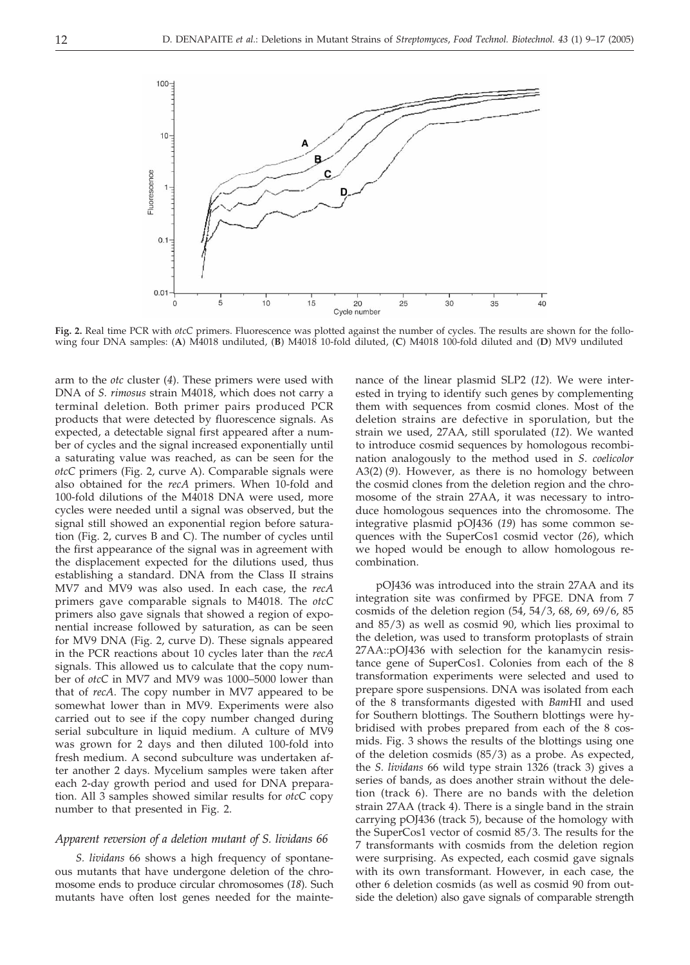

**Fig. 2.** Real time PCR with *otcC* primers. Fluorescence was plotted against the number of cycles. The results are shown for the following four DNA samples: (**A**) M4018 undiluted, (**B**) M4018 10-fold diluted, (**C**) M4018 100-fold diluted and (**D**) MV9 undiluted

arm to the *otc* cluster (*4*). These primers were used with DNA of *S. rimosus* strain M4018, which does not carry a terminal deletion. Both primer pairs produced PCR products that were detected by fluorescence signals. As expected, a detectable signal first appeared after a number of cycles and the signal increased exponentially until a saturating value was reached, as can be seen for the *otcC* primers (Fig. 2, curve A). Comparable signals were also obtained for the *recA* primers. When 10-fold and 100-fold dilutions of the M4018 DNA were used, more cycles were needed until a signal was observed, but the signal still showed an exponential region before saturation (Fig. 2, curves B and C). The number of cycles until the first appearance of the signal was in agreement with the displacement expected for the dilutions used, thus establishing a standard. DNA from the Class II strains MV7 and MV9 was also used. In each case, the *recA* primers gave comparable signals to M4018. The *otcC* primers also gave signals that showed a region of exponential increase followed by saturation, as can be seen for MV9 DNA (Fig. 2, curve D). These signals appeared in the PCR reactions about 10 cycles later than the *recA* signals. This allowed us to calculate that the copy number of *otcC* in MV7 and MV9 was 1000–5000 lower than that of *recA*. The copy number in MV7 appeared to be somewhat lower than in MV9. Experiments were also carried out to see if the copy number changed during serial subculture in liquid medium. A culture of MV9 was grown for 2 days and then diluted 100-fold into fresh medium. A second subculture was undertaken after another 2 days. Mycelium samples were taken after each 2-day growth period and used for DNA preparation. All 3 samples showed similar results for *otcC* copy number to that presented in Fig. 2.

### *Apparent reversion of a deletion mutant of S. lividans 66*

*S. lividans* 66 shows a high frequency of spontaneous mutants that have undergone deletion of the chromosome ends to produce circular chromosomes (*18*). Such mutants have often lost genes needed for the maintenance of the linear plasmid SLP2 (*12*). We were interested in trying to identify such genes by complementing them with sequences from cosmid clones. Most of the deletion strains are defective in sporulation, but the strain we used, 27AA, still sporulated (*12*). We wanted to introduce cosmid sequences by homologous recombination analogously to the method used in *S*. *coelicolor* A3(2) (*9*). However, as there is no homology between the cosmid clones from the deletion region and the chromosome of the strain 27AA, it was necessary to introduce homologous sequences into the chromosome. The integrative plasmid pOJ436 (*19*) has some common sequences with the SuperCos1 cosmid vector (*26*), which we hoped would be enough to allow homologous recombination.

pOJ436 was introduced into the strain 27AA and its integration site was confirmed by PFGE. DNA from 7 cosmids of the deletion region (54, 54/3, 68, 69, 69/6, 85 and 85/3) as well as cosmid 90, which lies proximal to the deletion, was used to transform protoplasts of strain 27AA::pOJ436 with selection for the kanamycin resistance gene of SuperCos1. Colonies from each of the 8 transformation experiments were selected and used to prepare spore suspensions. DNA was isolated from each of the 8 transformants digested with *Bam*HI and used for Southern blottings. The Southern blottings were hybridised with probes prepared from each of the 8 cosmids. Fig. 3 shows the results of the blottings using one of the deletion cosmids (85/3) as a probe. As expected, the *S. lividans* 66 wild type strain 1326 (track 3) gives a series of bands, as does another strain without the deletion (track 6). There are no bands with the deletion strain 27AA (track 4). There is a single band in the strain carrying pOJ436 (track 5), because of the homology with the SuperCos1 vector of cosmid 85/3. The results for the 7 transformants with cosmids from the deletion region were surprising. As expected, each cosmid gave signals with its own transformant. However, in each case, the other 6 deletion cosmids (as well as cosmid 90 from outside the deletion) also gave signals of comparable strength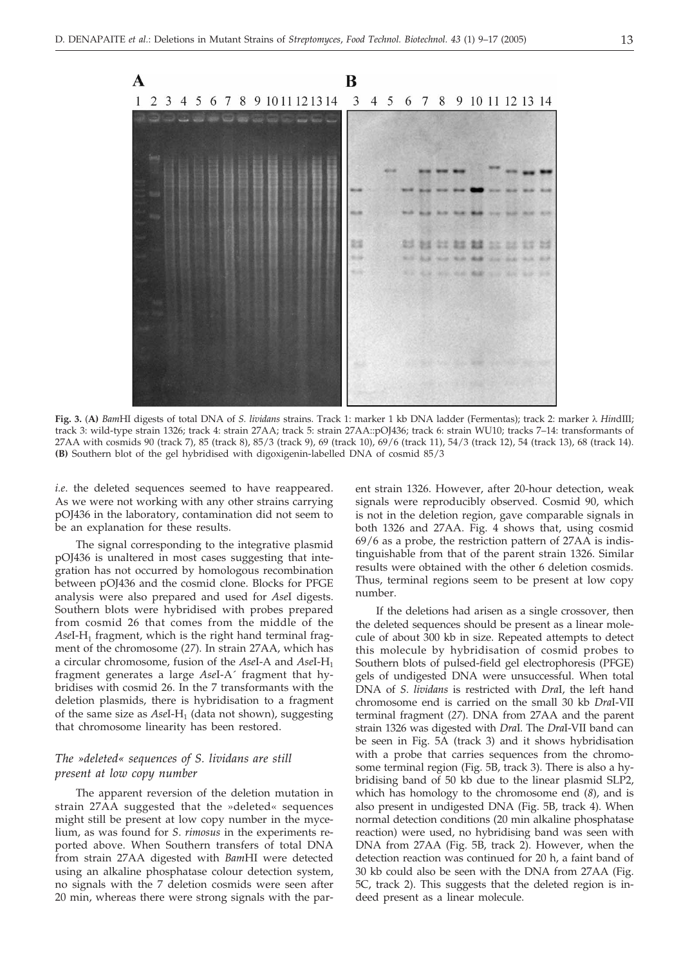

**Fig. 3.** (**A)** *Bam*HI digests of total DNA of *S. lividans* strains. Track 1: marker 1 kb DNA ladder (Fermentas); track 2: marker *Hin*dIII; track 3: wild-type strain 1326; track 4: strain 27AA; track 5: strain 27AA::pOJ436; track 6: strain WU10; tracks 7–14: transformants of 27AA with cosmids 90 (track 7), 85 (track 8), 85/3 (track 9), 69 (track 10), 69/6 (track 11), 54/3 (track 12), 54 (track 13), 68 (track 14). **(B)** Southern blot of the gel hybridised with digoxigenin-labelled DNA of cosmid 85/3

*i.e*. the deleted sequences seemed to have reappeared. As we were not working with any other strains carrying pOJ436 in the laboratory, contamination did not seem to be an explanation for these results.

The signal corresponding to the integrative plasmid pOJ436 is unaltered in most cases suggesting that integration has not occurred by homologous recombination between pOJ436 and the cosmid clone. Blocks for PFGE analysis were also prepared and used for *Ase*I digests. Southern blots were hybridised with probes prepared from cosmid 26 that comes from the middle of the AseI-H<sub>1</sub> fragment, which is the right hand terminal fragment of the chromosome (*27*). In strain 27AA, which has a circular chromosome, fusion of the *Ase*I-A and *AseI-H*<sub>1</sub> fragment generates a large *Ase*I-A´ fragment that hybridises with cosmid 26. In the 7 transformants with the deletion plasmids, there is hybridisation to a fragment of the same size as *Ase*I-H<sub>1</sub> (data not shown), suggesting that chromosome linearity has been restored.

### *The »deleted« sequences of S. lividans are still present at low copy number*

The apparent reversion of the deletion mutation in strain 27AA suggested that the »deleted« sequences might still be present at low copy number in the mycelium, as was found for *S*. *rimosus* in the experiments reported above. When Southern transfers of total DNA from strain 27AA digested with *Bam*HI were detected using an alkaline phosphatase colour detection system, no signals with the 7 deletion cosmids were seen after 20 min, whereas there were strong signals with the parent strain 1326. However, after 20-hour detection, weak signals were reproducibly observed. Cosmid 90, which is not in the deletion region, gave comparable signals in both 1326 and 27AA. Fig. 4 shows that, using cosmid 69/6 as a probe, the restriction pattern of 27AA is indistinguishable from that of the parent strain 1326. Similar results were obtained with the other 6 deletion cosmids. Thus, terminal regions seem to be present at low copy number.

If the deletions had arisen as a single crossover, then the deleted sequences should be present as a linear molecule of about 300 kb in size. Repeated attempts to detect this molecule by hybridisation of cosmid probes to Southern blots of pulsed-field gel electrophoresis (PFGE) gels of undigested DNA were unsuccessful. When total DNA of *S*. *lividans* is restricted with *Dra*I, the left hand chromosome end is carried on the small 30 kb *Dra*I-VII terminal fragment (*27*). DNA from 27AA and the parent strain 1326 was digested with *Dra*I. The *Dra*I-VII band can be seen in Fig. 5A (track 3) and it shows hybridisation with a probe that carries sequences from the chromosome terminal region (Fig. 5B, track 3). There is also a hybridising band of 50 kb due to the linear plasmid SLP2, which has homology to the chromosome end (*8*), and is also present in undigested DNA (Fig. 5B, track 4). When normal detection conditions (20 min alkaline phosphatase reaction) were used, no hybridising band was seen with DNA from 27AA (Fig. 5B, track 2). However, when the detection reaction was continued for 20 h, a faint band of 30 kb could also be seen with the DNA from 27AA (Fig. 5C, track 2). This suggests that the deleted region is indeed present as a linear molecule.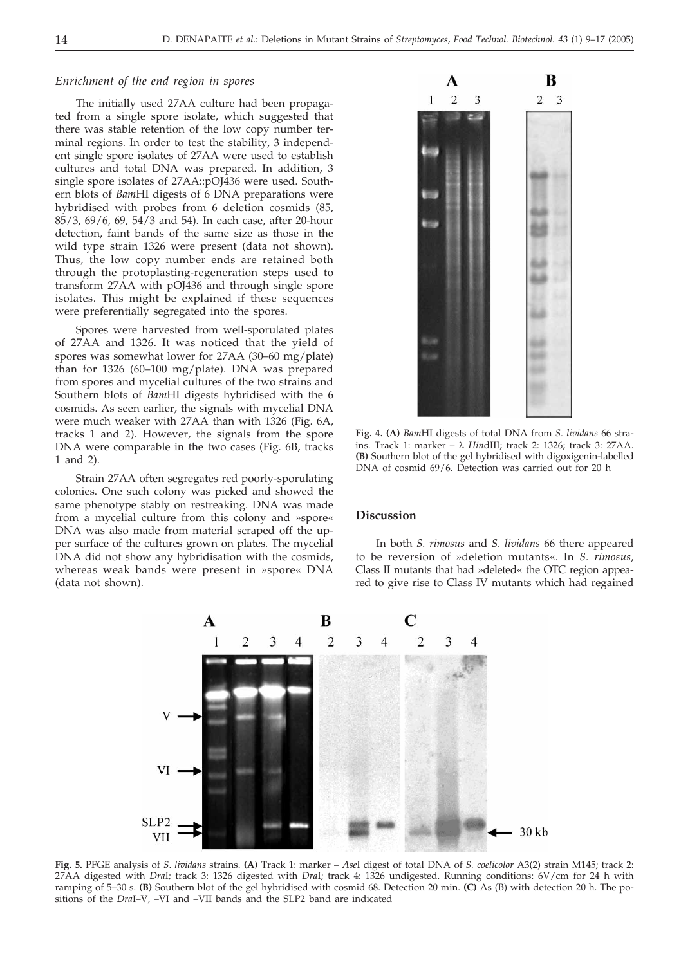### *Enrichment of the end region in spores*

The initially used 27AA culture had been propagated from a single spore isolate, which suggested that there was stable retention of the low copy number terminal regions. In order to test the stability, 3 independent single spore isolates of 27AA were used to establish cultures and total DNA was prepared. In addition, 3 single spore isolates of 27AA::pOJ436 were used. Southern blots of *Bam*HI digests of 6 DNA preparations were hybridised with probes from 6 deletion cosmids (85, 85/3, 69/6, 69, 54/3 and 54). In each case, after 20-hour detection, faint bands of the same size as those in the wild type strain 1326 were present (data not shown). Thus, the low copy number ends are retained both through the protoplasting-regeneration steps used to transform 27AA with pOJ436 and through single spore isolates. This might be explained if these sequences were preferentially segregated into the spores.

Spores were harvested from well-sporulated plates of 27AA and 1326. It was noticed that the yield of spores was somewhat lower for 27AA (30–60 mg/plate) than for 1326 (60–100 mg/plate). DNA was prepared from spores and mycelial cultures of the two strains and Southern blots of *Bam*HI digests hybridised with the 6 cosmids. As seen earlier, the signals with mycelial DNA were much weaker with 27AA than with 1326 (Fig. 6A, tracks 1 and 2). However, the signals from the spore DNA were comparable in the two cases (Fig. 6B, tracks 1 and 2).

Strain 27AA often segregates red poorly-sporulating colonies. One such colony was picked and showed the same phenotype stably on restreaking. DNA was made from a mycelial culture from this colony and »spore« DNA was also made from material scraped off the upper surface of the cultures grown on plates. The mycelial DNA did not show any hybridisation with the cosmids, whereas weak bands were present in »spore« DNA (data not shown).



**Fig. 4. (A)** *Bam*HI digests of total DNA from *S. lividans* 66 strains. Track 1: marker – *Hin*dIII; track 2: 1326; track 3: 27AA. **(B)** Southern blot of the gel hybridised with digoxigenin-labelled DNA of cosmid 69/6. Detection was carried out for 20 h

### **Discussion**

In both *S. rimosus* and *S. lividans* 66 there appeared to be reversion of »deletion mutants«. In *S. rimosus*, Class II mutants that had »deleted« the OTC region appeared to give rise to Class IV mutants which had regained



**Fig. 5.** PFGE analysis of *S*. *lividans* strains. **(A)** Track 1: marker – *Ase*I digest of total DNA of *S. coelicolor* A3(2) strain M145; track 2: 27AA digested with *Dra*I; track 3: 1326 digested with *Dra*I; track 4: 1326 undigested. Running conditions: 6V/cm for 24 h with ramping of 5–30 s. **(B)** Southern blot of the gel hybridised with cosmid 68. Detection 20 min. **(C)** As (B) with detection 20 h. The positions of the *Dra*I–V, –VI and –VII bands and the SLP2 band are indicated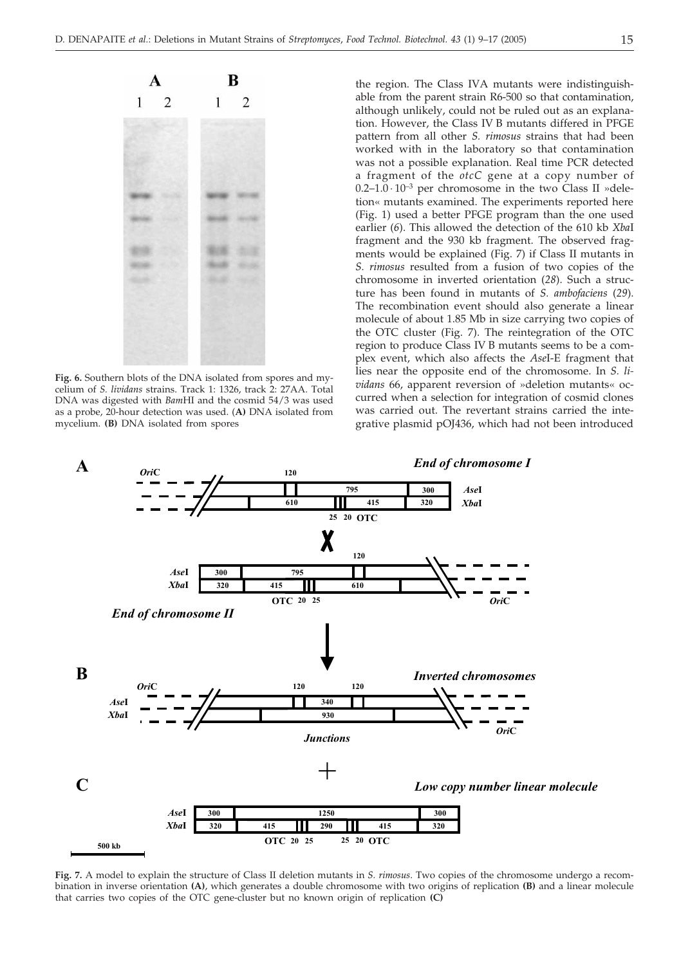

**Fig. 6.** Southern blots of the DNA isolated from spores and mycelium of *S. lividans* strains. Track 1: 1326, track 2: 27AA. Total DNA was digested with *Bam*HI and the cosmid 54/3 was used as a probe, 20-hour detection was used. (**A)** DNA isolated from mycelium. **(B)** DNA isolated from spores

the region. The Class IVA mutants were indistinguishable from the parent strain R6-500 so that contamination, although unlikely, could not be ruled out as an explanation. However, the Class IV B mutants differed in PFGE pattern from all other *S. rimosus* strains that had been worked with in the laboratory so that contamination was not a possible explanation. Real time PCR detected a fragment of the *otcC* gene at a copy number of 0.2–1.0  $\cdot$  10<sup>-3</sup> per chromosome in the two Class II »deletion« mutants examined. The experiments reported here (Fig. 1) used a better PFGE program than the one used earlier (*6*). This allowed the detection of the 610 kb *Xba*I fragment and the 930 kb fragment. The observed fragments would be explained (Fig. 7) if Class II mutants in *S. rimosus* resulted from a fusion of two copies of the chromosome in inverted orientation (*28*). Such a structure has been found in mutants of *S. ambofaciens* (*29*). The recombination event should also generate a linear molecule of about 1.85 Mb in size carrying two copies of the OTC cluster (Fig. 7). The reintegration of the OTC region to produce Class IV B mutants seems to be a complex event, which also affects the *Ase*I-E fragment that lies near the opposite end of the chromosome. In *S. lividans* 66, apparent reversion of »deletion mutants« occurred when a selection for integration of cosmid clones was carried out. The revertant strains carried the integrative plasmid pOJ436, which had not been introduced



**Fig. 7.** A model to explain the structure of Class II deletion mutants in *S. rimosus*. Two copies of the chromosome undergo a recombination in inverse orientation **(A)**, which generates a double chromosome with two origins of replication **(B)** and a linear molecule that carries two copies of the OTC gene-cluster but no known origin of replication **(C)**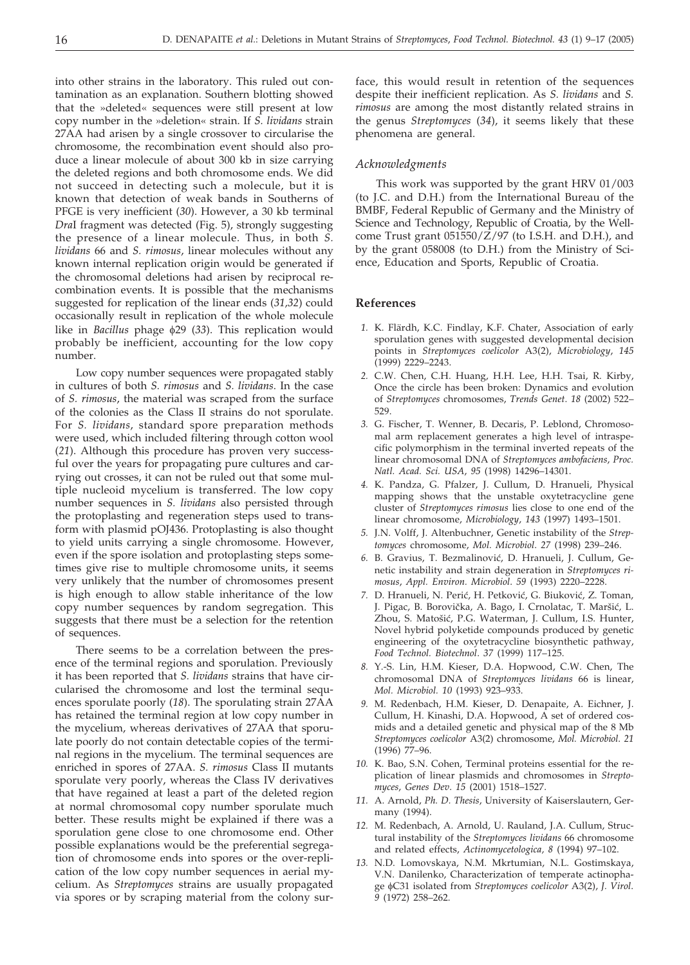into other strains in the laboratory. This ruled out contamination as an explanation. Southern blotting showed that the »deleted« sequences were still present at low copy number in the »deletion« strain. If *S. lividans* strain 27AA had arisen by a single crossover to circularise the chromosome, the recombination event should also produce a linear molecule of about 300 kb in size carrying the deleted regions and both chromosome ends. We did not succeed in detecting such a molecule, but it is known that detection of weak bands in Southerns of PFGE is very inefficient (*30*). However, a 30 kb terminal *Dra*I fragment was detected (Fig. 5), strongly suggesting the presence of a linear molecule. Thus, in both *S. lividans* 66 and *S. rimosus*, linear molecules without any known internal replication origin would be generated if the chromosomal deletions had arisen by reciprocal recombination events. It is possible that the mechanisms suggested for replication of the linear ends (*31,32*) could occasionally result in replication of the whole molecule like in *Bacillus* phage  $\phi$ 29 (33). This replication would probably be inefficient, accounting for the low copy number.

Low copy number sequences were propagated stably in cultures of both *S. rimosus* and *S. lividans*. In the case of *S. rimosus*, the material was scraped from the surface of the colonies as the Class II strains do not sporulate. For *S. lividans*, standard spore preparation methods were used, which included filtering through cotton wool (*21*). Although this procedure has proven very successful over the years for propagating pure cultures and carrying out crosses, it can not be ruled out that some multiple nucleoid mycelium is transferred. The low copy number sequences in *S. lividans* also persisted through the protoplasting and regeneration steps used to transform with plasmid pOJ436. Protoplasting is also thought to yield units carrying a single chromosome. However, even if the spore isolation and protoplasting steps sometimes give rise to multiple chromosome units, it seems very unlikely that the number of chromosomes present is high enough to allow stable inheritance of the low copy number sequences by random segregation. This suggests that there must be a selection for the retention of sequences.

There seems to be a correlation between the presence of the terminal regions and sporulation. Previously it has been reported that *S. lividans* strains that have circularised the chromosome and lost the terminal sequences sporulate poorly (*18*). The sporulating strain 27AA has retained the terminal region at low copy number in the mycelium, whereas derivatives of 27AA that sporulate poorly do not contain detectable copies of the terminal regions in the mycelium. The terminal sequences are enriched in spores of 27AA. *S. rimosus* Class II mutants sporulate very poorly, whereas the Class IV derivatives that have regained at least a part of the deleted region at normal chromosomal copy number sporulate much better. These results might be explained if there was a sporulation gene close to one chromosome end. Other possible explanations would be the preferential segregation of chromosome ends into spores or the over-replication of the low copy number sequences in aerial mycelium. As *Streptomyces* strains are usually propagated via spores or by scraping material from the colony surface, this would result in retention of the sequences despite their inefficient replication. As *S. lividans* and *S. rimosus* are among the most distantly related strains in the genus *Streptomyces* (*34*), it seems likely that these phenomena are general.

### *Acknowledgments*

This work was supported by the grant HRV 01/003 (to J.C. and D.H.) from the International Bureau of the BMBF, Federal Republic of Germany and the Ministry of Science and Technology, Republic of Croatia, by the Wellcome Trust grant 051550/Z/97 (to I.S.H. and D.H.), and by the grant 058008 (to D.H.) from the Ministry of Science, Education and Sports, Republic of Croatia.

### **References**

- *1.* K. Flärdh, K.C. Findlay, K.F. Chater, Association of early sporulation genes with suggested developmental decision points in *Streptomyces coelicolor* A3(2), *Microbiology*, *145* (1999) 2229–2243.
- *2.* C.W. Chen, C.H. Huang, H.H. Lee, H.H. Tsai, R. Kirby, Once the circle has been broken: Dynamics and evolution of *Streptomyces* chromosomes, *Trends Genet*. *18* (2002) 522– 529.
- *3.* G. Fischer, T. Wenner, B. Decaris, P. Leblond, Chromosomal arm replacement generates a high level of intraspecific polymorphism in the terminal inverted repeats of the linear chromosomal DNA of *Streptomyces ambofaciens*, *Proc. Natl. Acad. Sci. USA*, *95* (1998) 14296–14301.
- *4.* K. Pandza, G. Pfalzer, J. Cullum, D. Hranueli, Physical mapping shows that the unstable oxytetracycline gene cluster of *Streptomyces rimosus* lies close to one end of the linear chromosome, *Microbiology*, *143* (1997) 1493–1501.
- *5.* J.N. Volff, J. Altenbuchner, Genetic instability of the *Streptomyces* chromosome, *Mol. Microbiol*. *27* (1998) 239–246.
- 6. B. Gravius, T. Bezmalinović, D. Hranueli, J. Cullum, Genetic instability and strain degeneration in *Streptomyces rimosus*, *Appl. Environ. Microbiol*. *59* (1993) 2220–2228.
- 7. D. Hranueli, N. Perić, H. Petković, G. Biuković, Z. Toman, J. Pigac, B. Borovička, A. Bago, I. Crnolatac, T. Maršić, L. Zhou, S. Matošić, P.G. Waterman, J. Cullum, I.S. Hunter, Novel hybrid polyketide compounds produced by genetic engineering of the oxytetracycline biosynthetic pathway, *Food Technol. Biotechnol*. *37* (1999) 117–125.
- *8.* Y.-S. Lin, H.M. Kieser, D.A. Hopwood, C.W. Chen, The chromosomal DNA of *Streptomyces lividans* 66 is linear, *Mol. Microbiol. 10* (1993) 923–933.
- *9.* M. Redenbach, H.M. Kieser, D. Denapaite, A. Eichner, J. Cullum, H. Kinashi, D.A. Hopwood, A set of ordered cosmids and a detailed genetic and physical map of the 8 Mb *Streptomyces coelicolor* A3(2) chromosome, *Mol. Microbiol*. *21* (1996) 77–96.
- *10.* K. Bao, S.N. Cohen, Terminal proteins essential for the replication of linear plasmids and chromosomes in *Streptomyces*, *Genes Dev*. *15* (2001) 1518–1527.
- *11.* A. Arnold, *Ph. D. Thesis*, University of Kaiserslautern, Germany (1994).
- *12.* M. Redenbach, A. Arnold, U. Rauland, J.A. Cullum, Structural instability of the *Streptomyces lividans* 66 chromosome and related effects, *Actinomycetologica, 8* (1994) 97–102.
- *13.* N.D. Lomovskaya, N.M. Mkrtumian, N.L. Gostimskaya, V.N. Danilenko, Characterization of temperate actinophage C31 isolated from *Streptomyces coelicolor* A3(2), *J. Virol*. *9* (1972) 258–262.